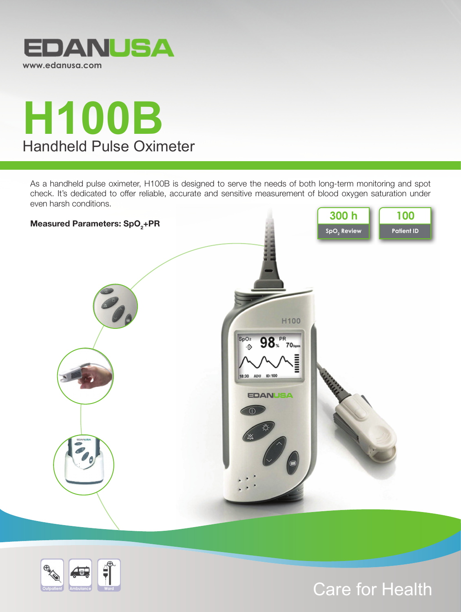



As a handheld pulse oximeter, H100B is designed to serve the needs of both long-term monitoring and spot check. It's dedicated to offer reliable, accurate and sensitive measurement of blood oxygen saturation under even harsh conditions.





# Care for Health